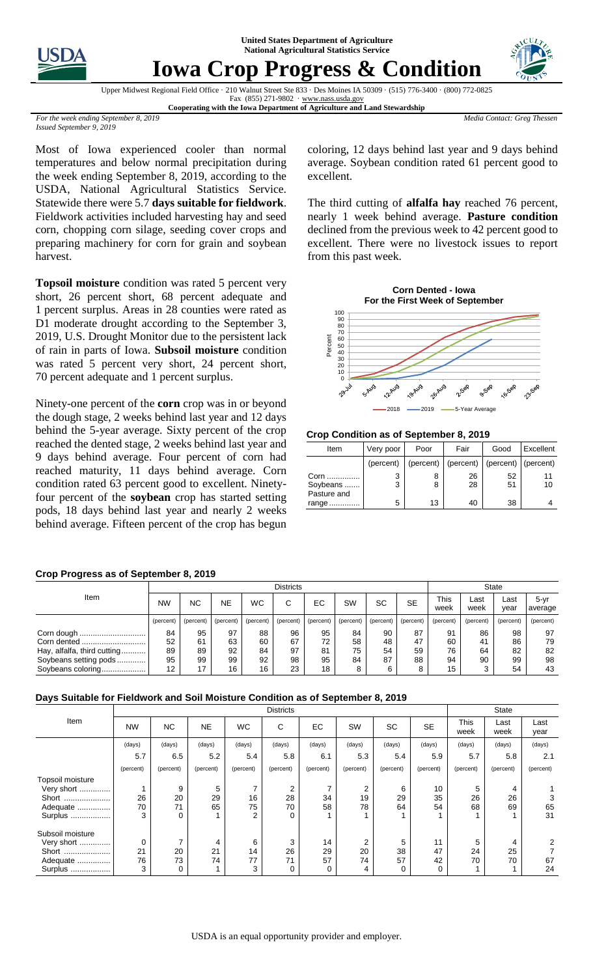**United States Department of Agriculture National Agricultural Statistics Service**



# **Iowa Crop Progress & Condition**



Upper Midwest Regional Field Office · 210 Walnut Street Ste 833 · Des Moines IA 50309 · (515) 776-3400 · (800) 772-0825 Fax (855) 271-9802 · [www.nass.usda.gov](http://www.nass.usda.gov/) **Cooperating with the Iowa Department of Agriculture and Land Stewardship**

*Media Contact: Greg Thessen*

*For the week ending September 8, 2019 Issued September 9, 2019*

Most of Iowa experienced cooler than normal temperatures and below normal precipitation during the week ending September 8, 2019, according to the USDA, National Agricultural Statistics Service. Statewide there were 5.7 **days suitable for fieldwork**. Fieldwork activities included harvesting hay and seed corn, chopping corn silage, seeding cover crops and preparing machinery for corn for grain and soybean harvest.

**Topsoil moisture** condition was rated 5 percent very short, 26 percent short, 68 percent adequate and percent surplus. Areas in 28 counties were rated as D1 moderate drought according to the September 3, 2019, U.S. Drought Monitor due to the persistent lack of rain in parts of Iowa. **Subsoil moisture** condition was rated 5 percent very short, 24 percent short, percent adequate and 1 percent surplus.

Ninety-one percent of the **corn** crop was in or beyond the dough stage, 2 weeks behind last year and 12 days behind the 5-year average. Sixty percent of the crop reached the dented stage, 2 weeks behind last year and 9 days behind average. Four percent of corn had reached maturity, 11 days behind average. Corn condition rated 63 percent good to excellent. Ninetyfour percent of the **soybean** crop has started setting pods, 18 days behind last year and nearly 2 weeks behind average. Fifteen percent of the crop has begun

### **Crop Progress as of September 8, 2019**

Item Districts State NW  $\mid$  NC  $\mid$  NE  $\mid$  WC  $\mid$  C  $\mid$  EC  $\mid$  SW  $\mid$  SC  $\mid$  SE  $\mid$  <sup>This</sup> week Last week Last year 5-yr average (percent) (percent) (percent) (percent) (percent) (percent) (percent) (percent) (percent) (percent) (percent) (percent) (percent) Corn dough Corn dented Hay, alfalfa, third cutting........... Soybeans setting pods .... Soybeans coloring..... 

## **Days Suitable for Fieldwork and Soil Moisture Condition as of September 8, 2019**

|                  | <b>Districts</b> |                |           |                |           |           |           |           |           | <b>State</b> |              |              |
|------------------|------------------|----------------|-----------|----------------|-----------|-----------|-----------|-----------|-----------|--------------|--------------|--------------|
| Item             | <b>NW</b>        | N <sub>C</sub> | <b>NE</b> | <b>WC</b>      | С         | EC.       | SW        | <b>SC</b> | <b>SE</b> | This<br>week | Last<br>week | Last<br>year |
|                  | (days)           | (days)         | (days)    | (days)         | (days)    | (days)    | (days)    | (days)    | (days)    | (days)       | (days)       | (days)       |
|                  | 5.7              | 6.5            | 5.2       | 5.4            | 5.8       | 6.1       | 5.3       | 5.4       | 5.9       | 5.7          | 5.8          | 2.1          |
|                  | (percent)        | (percent)      | (percent) | (percent)      | (percent) | (percent) | (percent) | (percent) | (percent) | (percent)    | (percent)    | (percent)    |
| Topsoil moisture |                  |                |           |                |           |           |           |           |           |              |              |              |
| Very short       |                  | 9              | 5         |                | 2         | 7         | 2         | 6         | 10        | 5            | 4            |              |
| Short            | 26               | 20             | 29        | 16             | 28        | 34        | 19        | 29        | 35        | 26           | 26           |              |
| Adequate         | 70               | 71             | 65        | 75             | 70        | 58        | 78        | 64        | 54        | 68           | 69           | 65           |
| Surplus          | 3                | 0              |           | $\overline{2}$ | 0         |           |           |           |           |              |              | 31           |
| Subsoil moisture |                  |                |           |                |           |           |           |           |           |              |              |              |
| Very short       | 0                | 7              | 4         | 6              | 3         | 14        | 2         | 5         | 11        | 5            | 4            |              |
| Short            | 21               | 20             | 21        | 14             | 26        | 29        | 20        | 38        | 47        | 24           | 25           |              |
| Adequate         | 76               | 73             | 74        | 77             | 71        | 57        | 74        | 57        | 42        | 70           | 70           | 67           |
| Surplus          | 3                | 0              |           | 3              | 0         | 0         | 4         | 0         | 0         |              |              | 24           |

coloring, 12 days behind last year and 9 days behind average. Soybean condition rated 61 percent good to excellent.

The third cutting of **alfalfa hay** reached 76 percent, nearly 1 week behind average. **Pasture condition**  declined from the previous week to 42 percent good to excellent. There were no livestock issues to report from this past week.



**Crop Condition as of September 8, 2019**

| Item                            | Very poor | Poor   | Fair                                          | Good     | Excellent |  |
|---------------------------------|-----------|--------|-----------------------------------------------|----------|-----------|--|
|                                 | (percent) |        | (percent)   (percent)   (percent)   (percent) |          |           |  |
| Corn<br>Soybeans<br>Pasture and | 3<br>3    | 8<br>8 | 26<br>28                                      | 52<br>51 | 11<br>10  |  |
| range                           | 5         | 13     | 40                                            | 38       |           |  |